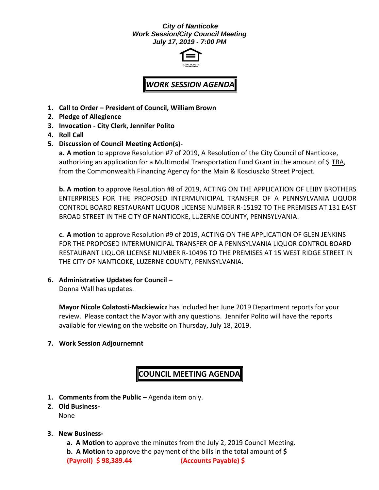## *City of Nanticoke Work Session/City Council Meeting July 17, 2019 - 7:00 PM*



## *WORK SESSION AGENDA*

- **1. Call to Order – President of Council, William Brown**
- **2. Pledge of Allegience**
- **3. Invocation - City Clerk, Jennifer Polito**
- **4. Roll Call**
- **5. Discussion of Council Meeting Action(s)-**

**a. A motion** to approve Resolution #7 of 2019, A Resolution of the City Council of Nanticoke, authorizing an application for a Multimodal Transportation Fund Grant in the amount of \$ TBA, from the Commonwealth Financing Agency for the Main & Kosciuszko Street Project.

**b. A motion** to approv**e** Resolution #8 of 2019, ACTING ON THE APPLICATION OF LEIBY BROTHERS ENTERPRISES FOR THE PROPOSED INTERMUNICIPAL TRANSFER OF A PENNSYLVANIA LIQUOR CONTROL BOARD RESTAURANT LIQUOR LICENSE NUMBER R-15192 TO THE PREMISES AT 131 EAST BROAD STREET IN THE CITY OF NANTICOKE, LUZERNE COUNTY, PENNSYLVANIA.

**c. A motion** to approve Resolution #9 of 2019, ACTING ON THE APPLICATION OF GLEN JENKINS FOR THE PROPOSED INTERMUNICIPAL TRANSFER OF A PENNSYLVANIA LIQUOR CONTROL BOARD RESTAURANT LIQUOR LICENSE NUMBER R-10496 TO THE PREMISES AT 15 WEST RIDGE STREET IN THE CITY OF NANTICOKE, LUZERNE COUNTY, PENNSYLVANIA.

**6. Administrative Updates for Council –**

Donna Wall has updates.

**Mayor Nicole Colatosti-Mackiewicz** has included her June 2019 Department reports for your review. Please contact the Mayor with any questions. Jennifer Polito will have the reports available for viewing on the website on Thursday, July 18, 2019.

**7. Work Session Adjournemnt**

## **COUNCIL MEETING AGENDA**

- **1. Comments from the Public –** Agenda item only.
- **2. Old Business-**

None

## **3. New Business-**

**a. A Motion** to approve the minutes from the July 2, 2019 Council Meeting.

**b. A Motion** to approve the payment of the bills in the total amount of **\$ (Payroll) \$ 98,389.44 (Accounts Payable) \$**